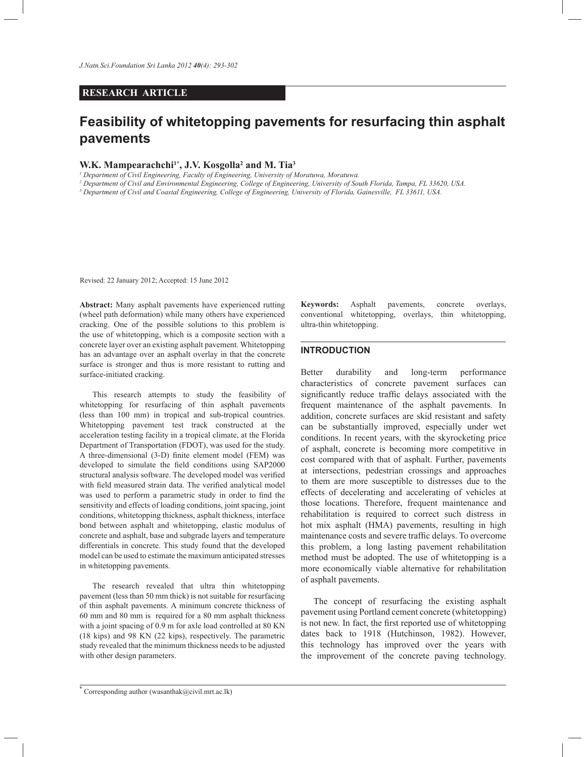# **RESEARCH ARTICLE**

# **Feasibility of whitetopping pavements for resurfacing thin asphalt pavements**

# **W.K. Mampearachchi1\*, J.V. Kosgolla<sup>2</sup> and M. Tia<sup>3</sup>**

*1 Department of Civil Engineering, Faculty of Engineering, University of Moratuwa, Moratuwa.*

*2 Department of Civil and Environmental Engineering, College of Engineering, University of South Florida, Tampa, FL 33620, USA.*

*3 Department of Civil and Coastal Engineering, College of Engineering, University of Florida, Gainesville, FL 33611, USA.*

Revised: 22 January 2012; Accepted: 15 June 2012

**Abstract:** Many asphalt pavements have experienced rutting (wheel path deformation) while many others have experienced cracking. One of the possible solutions to this problem is the use of whitetopping, which is a composite section with a concrete layer over an existing asphalt pavement. Whitetopping has an advantage over an asphalt overlay in that the concrete surface is stronger and thus is more resistant to rutting and surface-initiated cracking.

 This research attempts to study the feasibility of whitetopping for resurfacing of thin asphalt pavements (less than 100 mm) in tropical and sub-tropical countries. Whitetopping pavement test track constructed at the acceleration testing facility in a tropical climate, at the Florida Department of Transportation (FDOT), was used for the study. A three-dimensional (3-D) finite element model (FEM) was developed to simulate the field conditions using SAP2000 structural analysis software. The developed model was verified with field measured strain data. The verified analytical model was used to perform a parametric study in order to find the sensitivity and effects of loading conditions, joint spacing, joint conditions, whitetopping thickness, asphalt thickness, interface bond between asphalt and whitetopping, elastic modulus of concrete and asphalt, base and subgrade layers and temperature differentials in concrete. This study found that the developed model can be used to estimate the maximum anticipated stresses in whitetopping pavements.

 The research revealed that ultra thin whitetopping pavement (less than 50 mm thick) is not suitable for resurfacing of thin asphalt pavements. A minimum concrete thickness of 60 mm and 80 mm is required for a 80 mm asphalt thickness with a joint spacing of 0.9 m for axle load controlled at 80 KN (18 kips) and 98 KN (22 kips), respectively. The parametric study revealed that the minimum thickness needs to be adjusted with other design parameters.

**Keywords:** Asphalt pavements, concrete overlays, conventional whitetopping, overlays, thin whitetopping, ultra-thin whitetopping.

#### **INTRODUCTION**

Better durability and long-term performance characteristics of concrete pavement surfaces can significantly reduce traffic delays associated with the frequent maintenance of the asphalt pavements. In addition, concrete surfaces are skid resistant and safety can be substantially improved, especially under wet conditions. In recent years, with the skyrocketing price of asphalt, concrete is becoming more competitive in cost compared with that of asphalt. Further, pavements at intersections, pedestrian crossings and approaches to them are more susceptible to distresses due to the effects of decelerating and accelerating of vehicles at those locations. Therefore, frequent maintenance and rehabilitation is required to correct such distress in hot mix asphalt (HMA) pavements, resulting in high maintenance costs and severe traffic delays. To overcome this problem, a long lasting pavement rehabilitation method must be adopted. The use of whitetopping is a more economically viable alternative for rehabilitation of asphalt pavements.

 The concept of resurfacing the existing asphalt pavement using Portland cement concrete (whitetopping) is not new. In fact, the first reported use of whitetopping dates back to 1918 (Hutchinson, 1982). However, this technology has improved over the years with the improvement of the concrete paving technology.

<sup>\*</sup> Corresponding author (wasanthak@civil.mrt.ac.lk)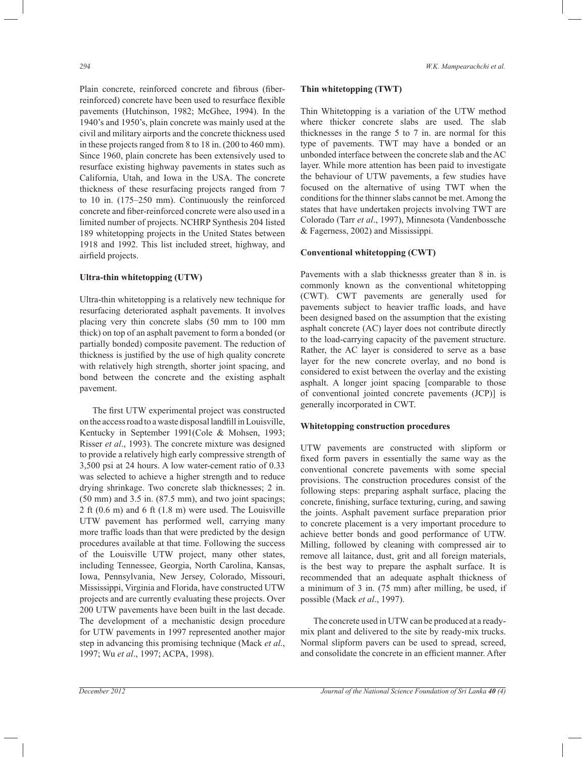Plain concrete, reinforced concrete and fibrous (fiberreinforced) concrete have been used to resurface flexible pavements (Hutchinson, 1982; McGhee, 1994). In the 1940's and 1950's, plain concrete was mainly used at the civil and military airports and the concrete thickness used in these projects ranged from 8 to 18 in. (200 to 460 mm). Since 1960, plain concrete has been extensively used to resurface existing highway pavements in states such as California, Utah, and Iowa in the USA. The concrete thickness of these resurfacing projects ranged from 7 to 10 in. (175–250 mm). Continuously the reinforced concrete and fiber-reinforced concrete were also used in a limited number of projects. NCHRP Synthesis 204 listed 189 whitetopping projects in the United States between 1918 and 1992. This list included street, highway, and airfield projects.

## **Ultra-thin whitetopping (UTW)**

Ultra-thin whitetopping is a relatively new technique for resurfacing deteriorated asphalt pavements. It involves placing very thin concrete slabs (50 mm to 100 mm thick) on top of an asphalt pavement to form a bonded (or partially bonded) composite pavement. The reduction of thickness is justified by the use of high quality concrete with relatively high strength, shorter joint spacing, and bond between the concrete and the existing asphalt pavement.

 The first UTW experimental project was constructed on the access road to a waste disposal landfill in Louisville, Kentucky in September 1991(Cole & Mohsen, 1993; Risser *et al*., 1993). The concrete mixture was designed to provide a relatively high early compressive strength of 3,500 psi at 24 hours. A low water-cement ratio of 0.33 was selected to achieve a higher strength and to reduce drying shrinkage. Two concrete slab thicknesses; 2 in. (50 mm) and 3.5 in. (87.5 mm), and two joint spacings; 2 ft (0.6 m) and 6 ft (1.8 m) were used. The Louisville UTW pavement has performed well, carrying many more traffic loads than that were predicted by the design procedures available at that time. Following the success of the Louisville UTW project, many other states, including Tennessee, Georgia, North Carolina, Kansas, Iowa, Pennsylvania, New Jersey, Colorado, Missouri, Mississippi, Virginia and Florida, have constructed UTW projects and are currently evaluating these projects. Over 200 UTW pavements have been built in the last decade. The development of a mechanistic design procedure for UTW pavements in 1997 represented another major step in advancing this promising technique (Mack *et al*., 1997; Wu *et al*., 1997; ACPA, 1998).

#### **Thin whitetopping (TWT)**

Thin Whitetopping is a variation of the UTW method where thicker concrete slabs are used. The slab thicknesses in the range 5 to 7 in. are normal for this type of pavements. TWT may have a bonded or an unbonded interface between the concrete slab and the AC layer. While more attention has been paid to investigate the behaviour of UTW pavements, a few studies have focused on the alternative of using TWT when the conditions for the thinner slabs cannot be met. Among the states that have undertaken projects involving TWT are Colorado (Tarr *et al*., 1997), Minnesota (Vandenbossche & Fagerness, 2002) and Mississippi.

# **Conventional whitetopping (CWT)**

Pavements with a slab thicknesss greater than 8 in. is commonly known as the conventional whitetopping (CWT). CWT pavements are generally used for pavements subject to heavier traffic loads, and have been designed based on the assumption that the existing asphalt concrete (AC) layer does not contribute directly to the load-carrying capacity of the pavement structure. Rather, the AC layer is considered to serve as a base layer for the new concrete overlay, and no bond is considered to exist between the overlay and the existing asphalt. A longer joint spacing [comparable to those of conventional jointed concrete pavements (JCP)] is generally incorporated in CWT.

### **Whitetopping construction procedures**

UTW pavements are constructed with slipform or fixed form pavers in essentially the same way as the conventional concrete pavements with some special provisions. The construction procedures consist of the following steps: preparing asphalt surface, placing the concrete, finishing, surface texturing, curing, and sawing the joints. Asphalt pavement surface preparation prior to concrete placement is a very important procedure to achieve better bonds and good performance of UTW. Milling, followed by cleaning with compressed air to remove all laitance, dust, grit and all foreign materials, is the best way to prepare the asphalt surface. It is recommended that an adequate asphalt thickness of a minimum of 3 in. (75 mm) after milling, be used, if possible (Mack *et al*., 1997).

 The concrete used in UTW can be produced at a readymix plant and delivered to the site by ready-mix trucks. Normal slipform pavers can be used to spread, screed, and consolidate the concrete in an efficient manner. After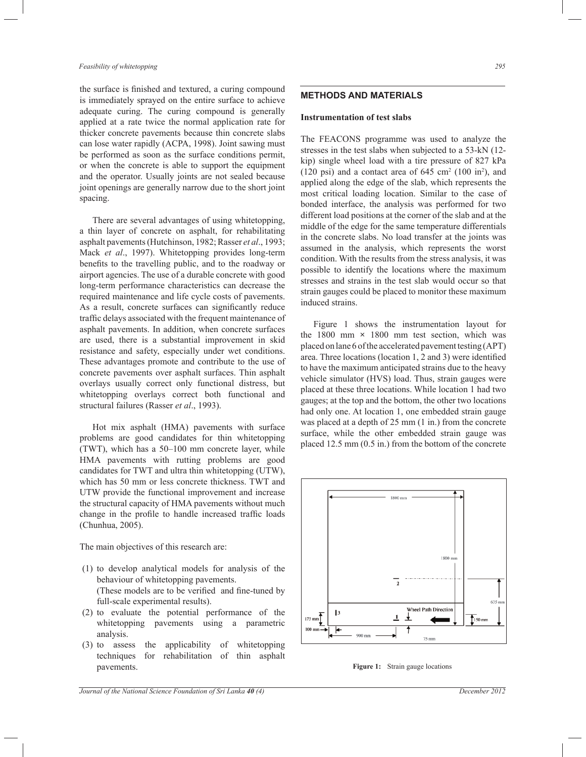#### *Feasibility of whitetopping 295*

the surface is finished and textured, a curing compound is immediately sprayed on the entire surface to achieve adequate curing. The curing compound is generally applied at a rate twice the normal application rate for thicker concrete pavements because thin concrete slabs can lose water rapidly (ACPA, 1998). Joint sawing must be performed as soon as the surface conditions permit, or when the concrete is able to support the equipment and the operator. Usually joints are not sealed because joint openings are generally narrow due to the short joint spacing.

 There are several advantages of using whitetopping, a thin layer of concrete on asphalt, for rehabilitating asphalt pavements (Hutchinson, 1982; Rasser *et al*., 1993; Mack *et al*., 1997). Whitetopping provides long-term benefits to the travelling public, and to the roadway or airport agencies. The use of a durable concrete with good long-term performance characteristics can decrease the required maintenance and life cycle costs of pavements. As a result, concrete surfaces can significantly reduce traffic delays associated with the frequent maintenance of asphalt pavements. In addition, when concrete surfaces are used, there is a substantial improvement in skid resistance and safety, especially under wet conditions. These advantages promote and contribute to the use of concrete pavements over asphalt surfaces. Thin asphalt overlays usually correct only functional distress, but whitetopping overlays correct both functional and structural failures (Rasser *et al*., 1993).

 Hot mix asphalt (HMA) pavements with surface problems are good candidates for thin whitetopping (TWT), which has a 50–100 mm concrete layer, while HMA pavements with rutting problems are good candidates for TWT and ultra thin whitetopping (UTW), which has 50 mm or less concrete thickness. TWT and UTW provide the functional improvement and increase the structural capacity of HMA pavements without much change in the profile to handle increased traffic loads (Chunhua, 2005).

The main objectives of this research are:

- (1) to develop analytical models for analysis of the behaviour of whitetopping pavements. (These models are to be verified and fine-tuned by full-scale experimental results).
- (2) to evaluate the potential performance of the whitetopping pavements using a parametric analysis.
- (3) to assess the applicability of whitetopping techniques for rehabilitation of thin asphalt pavements.

## **METHODS AND MATERIALS**

#### **Instrumentation of test slabs**

The FEACONS programme was used to analyze the stresses in the test slabs when subjected to a 53-kN (12 kip) single wheel load with a tire pressure of 827 kPa  $(120 \text{ psi})$  and a contact area of 645 cm<sup>2</sup>  $(100 \text{ in}^2)$ , and applied along the edge of the slab, which represents the most critical loading location. Similar to the case of bonded interface, the analysis was performed for two different load positions at the corner of the slab and at the middle of the edge for the same temperature differentials in the concrete slabs. No load transfer at the joints was assumed in the analysis, which represents the worst condition. With the results from the stress analysis, it was possible to identify the locations where the maximum stresses and strains in the test slab would occur so that strain gauges could be placed to monitor these maximum induced strains.

 Figure 1 shows the instrumentation layout for the 1800 mm **×** 1800 mm test section, which was placed on lane 6 of the accelerated pavement testing (APT) area. Three locations (location 1, 2 and 3) were identified to have the maximum anticipated strains due to the heavy vehicle simulator (HVS) load. Thus, strain gauges were placed at these three locations. While location 1 had two gauges; at the top and the bottom, the other two locations had only one. At location 1, one embedded strain gauge was placed at a depth of 25 mm (1 in.) from the concrete surface, while the other embedded strain gauge was placed 12.5 mm (0.5 in.) from the bottom of the concrete



**Figure 1:** Strain gauge locations

*Journal of the National Science Foundation of Sri Lanka 40 (4) December 2012*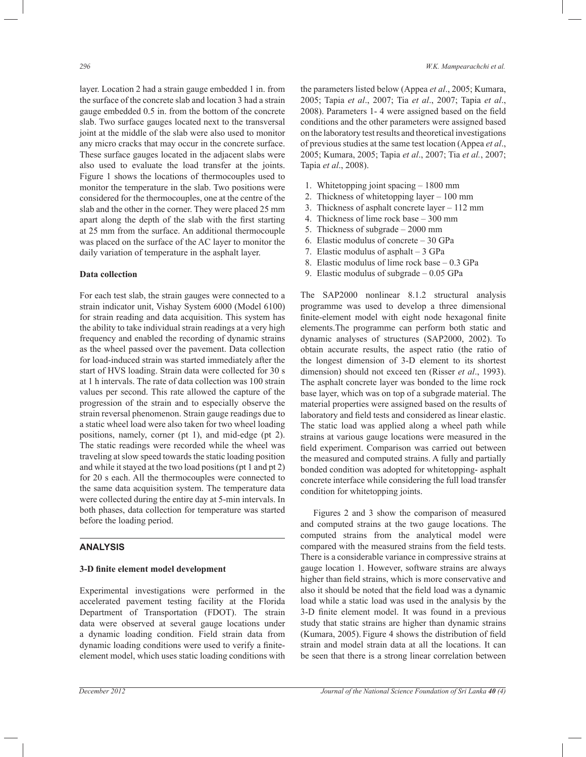layer. Location 2 had a strain gauge embedded 1 in. from the surface of the concrete slab and location 3 had a strain gauge embedded 0.5 in. from the bottom of the concrete slab. Two surface gauges located next to the transversal joint at the middle of the slab were also used to monitor any micro cracks that may occur in the concrete surface. These surface gauges located in the adjacent slabs were also used to evaluate the load transfer at the joints. Figure 1 shows the locations of thermocouples used to monitor the temperature in the slab. Two positions were considered for the thermocouples, one at the centre of the slab and the other in the corner. They were placed 25 mm apart along the depth of the slab with the first starting at 25 mm from the surface. An additional thermocouple was placed on the surface of the AC layer to monitor the daily variation of temperature in the asphalt layer.

#### **Data collection**

For each test slab, the strain gauges were connected to a strain indicator unit, Vishay System 6000 (Model 6100) for strain reading and data acquisition. This system has the ability to take individual strain readings at a very high frequency and enabled the recording of dynamic strains as the wheel passed over the pavement. Data collection for load-induced strain was started immediately after the start of HVS loading. Strain data were collected for 30 s at 1 h intervals. The rate of data collection was 100 strain values per second. This rate allowed the capture of the progression of the strain and to especially observe the strain reversal phenomenon. Strain gauge readings due to a static wheel load were also taken for two wheel loading positions, namely, corner (pt 1), and mid-edge (pt 2). The static readings were recorded while the wheel was traveling at slow speed towards the static loading position and while it stayed at the two load positions (pt 1 and pt 2) for 20 s each. All the thermocouples were connected to the same data acquisition system. The temperature data were collected during the entire day at 5-min intervals. In both phases, data collection for temperature was started before the loading period.

## **ANALYSIS**

#### **3-D finite element model development**

Experimental investigations were performed in the accelerated pavement testing facility at the Florida Department of Transportation (FDOT). The strain data were observed at several gauge locations under a dynamic loading condition. Field strain data from dynamic loading conditions were used to verify a finiteelement model, which uses static loading conditions with

the parameters listed below (Appea *et al*., 2005; Kumara, 2005; Tapia *et al*., 2007; Tia *et al*., 2007; Tapia *et al*., 2008). Parameters 1- 4 were assigned based on the field conditions and the other parameters were assigned based on the laboratory test results and theoretical investigations of previous studies at the same test location (Appea *et al*., 2005; Kumara, 2005; Tapia *et al*., 2007; Tia *et al.*, 2007; Tapia *et al*., 2008).

- 1. Whitetopping joint spacing 1800 mm
- 2. Thickness of whitetopping layer 100 mm
- 3. Thickness of asphalt concrete layer 112 mm
- 4. Thickness of lime rock base 300 mm
- 5. Thickness of subgrade 2000 mm
- 6. Elastic modulus of concrete 30 GPa
- 7. Elastic modulus of asphalt 3 GPa
- 8. Elastic modulus of lime rock base 0.3 GPa
- 9. Elastic modulus of subgrade 0.05 GPa

The SAP2000 nonlinear 8.1.2 structural analysis programme was used to develop a three dimensional finite-element model with eight node hexagonal finite elements.The programme can perform both static and dynamic analyses of structures (SAP2000, 2002). To obtain accurate results, the aspect ratio (the ratio of the longest dimension of 3-D element to its shortest dimension) should not exceed ten (Risser *et al*., 1993). The asphalt concrete layer was bonded to the lime rock base layer, which was on top of a subgrade material. The material properties were assigned based on the results of laboratory and field tests and considered as linear elastic. The static load was applied along a wheel path while strains at various gauge locations were measured in the field experiment. Comparison was carried out between the measured and computed strains. A fully and partially bonded condition was adopted for whitetopping- asphalt concrete interface while considering the full load transfer condition for whitetopping joints.

 Figures 2 and 3 show the comparison of measured and computed strains at the two gauge locations. The computed strains from the analytical model were compared with the measured strains from the field tests. There is a considerable variance in compressive strains at gauge location 1. However, software strains are always higher than field strains, which is more conservative and also it should be noted that the field load was a dynamic load while a static load was used in the analysis by the 3-D finite element model. It was found in a previous study that static strains are higher than dynamic strains (Kumara, 2005). Figure 4 shows the distribution of field strain and model strain data at all the locations. It can be seen that there is a strong linear correlation between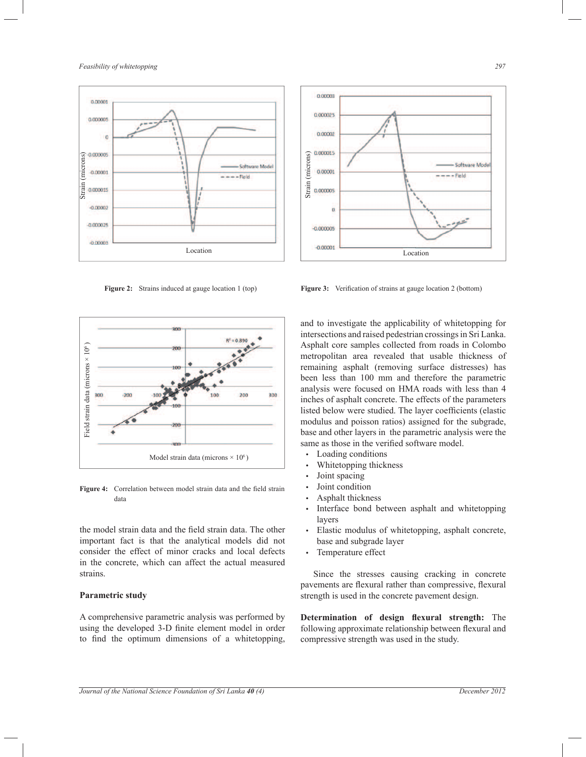*Feasibility of whitetopping 297*



Figure 2: Strains induced at gauge location 1 (top)



**Figure 4:** Correlation between model strain data and the field strain data

the model strain data and the field strain data. The other important fact is that the analytical models did not consider the effect of minor cracks and local defects in the concrete, which can affect the actual measured strains.

## **Parametric study**

A comprehensive parametric analysis was performed by using the developed 3-D finite element model in order to find the optimum dimensions of a whitetopping,



and to investigate the applicability of whitetopping for intersections and raised pedestrian crossings in Sri Lanka. Asphalt core samples collected from roads in Colombo metropolitan area revealed that usable thickness of remaining asphalt (removing surface distresses) has been less than 100 mm and therefore the parametric analysis were focused on HMA roads with less than 4 inches of asphalt concrete. The effects of the parameters listed below were studied. The layer coefficients (elastic modulus and poisson ratios) assigned for the subgrade, base and other layers in the parametric analysis were the same as those in the verified software model.

- Loading conditions
- Whitetopping thickness
- Joint spacing
- Joint condition
- Asphalt thickness
- Interface bond between asphalt and whitetopping layers
- Elastic modulus of whitetopping, asphalt concrete, base and subgrade layer
- Temperature effect

 Since the stresses causing cracking in concrete pavements are flexural rather than compressive, flexural strength is used in the concrete pavement design.

**Determination of design flexural strength:** The following approximate relationship between flexural and compressive strength was used in the study.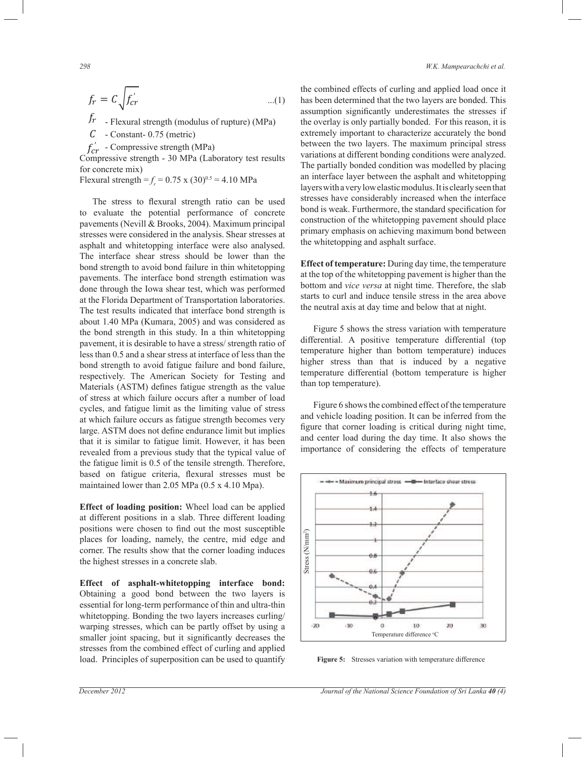$$
f_r = C \sqrt{f_{cr}} \tag{1}
$$

 $f_r$  - Flexural strength (modulus of rupture) (MPa)

 $C$  - Constant- 0.75 (metric)

 $f_{cr}$  - Compressive strength (MPa)

 Compressive strength - 30 MPa (Laboratory test results for concrete mix)

Flexural strength =  $f_r$  = 0.75 x (30)<sup>0.5</sup> = 4.10 MPa

 The stress to flexural strength ratio can be used to evaluate the potential performance of concrete pavements (Nevill & Brooks, 2004). Maximum principal stresses were considered in the analysis. Shear stresses at asphalt and whitetopping interface were also analysed. The interface shear stress should be lower than the bond strength to avoid bond failure in thin whitetopping pavements. The interface bond strength estimation was done through the Iowa shear test, which was performed at the Florida Department of Transportation laboratories. The test results indicated that interface bond strength is about 1.40 MPa (Kumara, 2005) and was considered as the bond strength in this study. In a thin whitetopping pavement, it is desirable to have a stress/ strength ratio of less than 0.5 and a shear stress at interface of less than the bond strength to avoid fatigue failure and bond failure, respectively. The American Society for Testing and Materials (ASTM) defines fatigue strength as the value of stress at which failure occurs after a number of load cycles, and fatigue limit as the limiting value of stress at which failure occurs as fatigue strength becomes very large. ASTM does not define endurance limit but implies that it is similar to fatigue limit. However, it has been revealed from a previous study that the typical value of the fatigue limit is 0.5 of the tensile strength. Therefore, based on fatigue criteria, flexural stresses must be maintained lower than 2.05 MPa (0.5 x 4.10 Mpa).

**Effect of loading position:** Wheel load can be applied at different positions in a slab. Three different loading positions were chosen to find out the most susceptible places for loading, namely, the centre, mid edge and corner. The results show that the corner loading induces the highest stresses in a concrete slab.

**Effect of asphalt-whitetopping interface bond:**  Obtaining a good bond between the two layers is essential for long-term performance of thin and ultra-thin whitetopping. Bonding the two layers increases curling/ warping stresses, which can be partly offset by using a smaller joint spacing, but it significantly decreases the stresses from the combined effect of curling and applied load. Principles of superposition can be used to quantify the combined effects of curling and applied load once it has been determined that the two layers are bonded. This assumption significantly underestimates the stresses if the overlay is only partially bonded. For this reason, it is extremely important to characterize accurately the bond between the two layers. The maximum principal stress variations at different bonding conditions were analyzed. The partially bonded condition was modelled by placing an interface layer between the asphalt and whitetopping layers with a very low elastic modulus. It is clearly seen that stresses have considerably increased when the interface bond is weak. Furthermore, the standard specification for construction of the whitetopping pavement should place primary emphasis on achieving maximum bond between the whitetopping and asphalt surface.

**Effect of temperature:** During day time, the temperature at the top of the whitetopping pavement is higher than the bottom and *vice versa* at night time. Therefore, the slab starts to curl and induce tensile stress in the area above the neutral axis at day time and below that at night.

 Figure 5 shows the stress variation with temperature differential. A positive temperature differential (top temperature higher than bottom temperature) induces higher stress than that is induced by a negative temperature differential (bottom temperature is higher than top temperature).

 Figure 6 shows the combined effect of the temperature and vehicle loading position. It can be inferred from the figure that corner loading is critical during night time, and center load during the day time. It also shows the importance of considering the effects of temperature



**Figure 5:** Stresses variation with temperature difference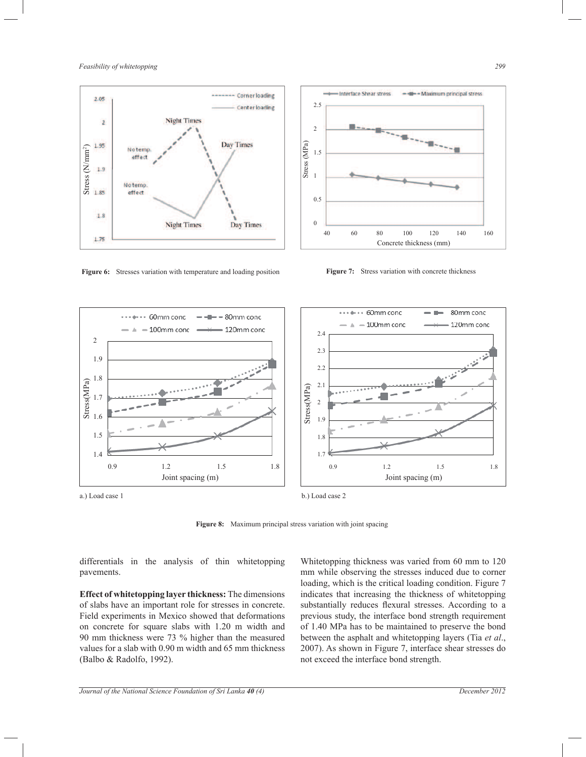









b.) Load case 2

**Figure 8:** Maximum principal stress variation with joint spacing

differentials in the analysis of thin whitetopping pavements.

**Effect of whitetopping layer thickness:** The dimensions of slabs have an important role for stresses in concrete. Field experiments in Mexico showed that deformations on concrete for square slabs with 1.20 m width and 90 mm thickness were 73 % higher than the measured values for a slab with 0.90 m width and 65 mm thickness (Balbo & Radolfo, 1992).

Whitetopping thickness was varied from 60 mm to 120 mm while observing the stresses induced due to corner loading, which is the critical loading condition. Figure 7 indicates that increasing the thickness of whitetopping substantially reduces flexural stresses. According to a previous study, the interface bond strength requirement of 1.40 MPa has to be maintained to preserve the bond between the asphalt and whitetopping layers (Tia *et al*., 2007). As shown in Figure 7, interface shear stresses do not exceed the interface bond strength.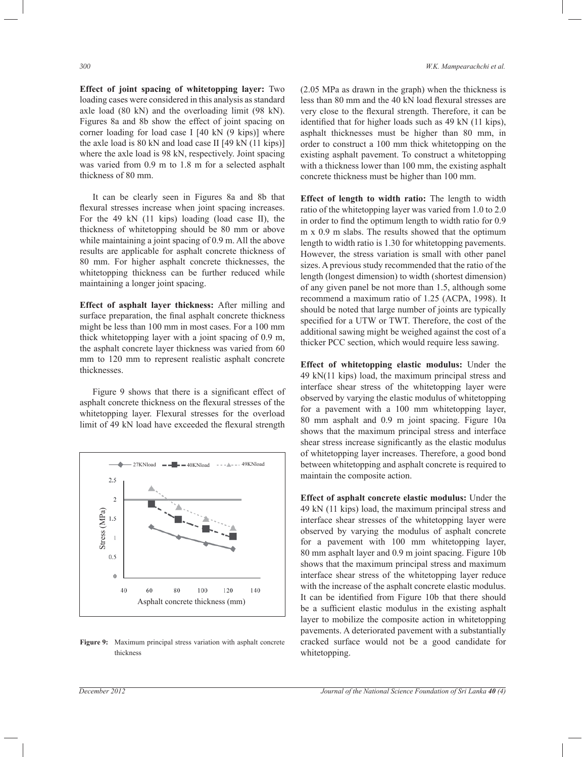**Effect of joint spacing of whitetopping layer:** Two loading cases were considered in this analysis as standard axle load (80 kN) and the overloading limit (98 kN). Figures 8a and 8b show the effect of joint spacing on corner loading for load case I [40 kN (9 kips)] where the axle load is 80 kN and load case II [49 kN (11 kips)] where the axle load is 98 kN, respectively. Joint spacing was varied from 0.9 m to 1.8 m for a selected asphalt thickness of 80 mm.

 It can be clearly seen in Figures 8a and 8b that flexural stresses increase when joint spacing increases. For the 49 kN (11 kips) loading (load case II), the thickness of whitetopping should be 80 mm or above while maintaining a joint spacing of 0.9 m. All the above results are applicable for asphalt concrete thickness of 80 mm. For higher asphalt concrete thicknesses, the whitetopping thickness can be further reduced while maintaining a longer joint spacing.

**Effect of asphalt layer thickness:** After milling and surface preparation, the final asphalt concrete thickness might be less than 100 mm in most cases. For a 100 mm thick whitetopping layer with a joint spacing of 0.9 m, the asphalt concrete layer thickness was varied from 60 mm to 120 mm to represent realistic asphalt concrete thicknesses.

 Figure 9 shows that there is a significant effect of asphalt concrete thickness on the flexural stresses of the whitetopping layer. Flexural stresses for the overload limit of 49 kN load have exceeded the flexural strength



**Figure 9:** Maximum principal stress variation with asphalt concrete thickness

(2.05 MPa as drawn in the graph) when the thickness is less than 80 mm and the 40 kN load flexural stresses are very close to the flexural strength. Therefore, it can be identified that for higher loads such as 49 kN (11 kips), asphalt thicknesses must be higher than 80 mm, in order to construct a 100 mm thick whitetopping on the existing asphalt pavement. To construct a whitetopping with a thickness lower than 100 mm, the existing asphalt concrete thickness must be higher than 100 mm.

**Effect of length to width ratio:** The length to width ratio of the whitetopping layer was varied from 1.0 to 2.0 in order to find the optimum length to width ratio for 0.9 m x 0.9 m slabs. The results showed that the optimum length to width ratio is 1.30 for whitetopping pavements. However, the stress variation is small with other panel sizes. A previous study recommended that the ratio of the length (longest dimension) to width (shortest dimension) of any given panel be not more than 1.5, although some recommend a maximum ratio of 1.25 (ACPA, 1998). It should be noted that large number of joints are typically specified for a UTW or TWT. Therefore, the cost of the additional sawing might be weighed against the cost of a thicker PCC section, which would require less sawing.

**Effect of whitetopping elastic modulus:** Under the 49 kN(11 kips) load, the maximum principal stress and interface shear stress of the whitetopping layer were observed by varying the elastic modulus of whitetopping for a pavement with a 100 mm whitetopping layer, 80 mm asphalt and 0.9 m joint spacing. Figure 10a shows that the maximum principal stress and interface shear stress increase significantly as the elastic modulus of whitetopping layer increases. Therefore, a good bond between whitetopping and asphalt concrete is required to maintain the composite action.

**Effect of asphalt concrete elastic modulus:** Under the 49 kN (11 kips) load, the maximum principal stress and interface shear stresses of the whitetopping layer were observed by varying the modulus of asphalt concrete for a pavement with 100 mm whitetopping layer, 80 mm asphalt layer and 0.9 m joint spacing. Figure 10b shows that the maximum principal stress and maximum interface shear stress of the whitetopping layer reduce with the increase of the asphalt concrete elastic modulus. It can be identified from Figure 10b that there should be a sufficient elastic modulus in the existing asphalt layer to mobilize the composite action in whitetopping pavements. A deteriorated pavement with a substantially cracked surface would not be a good candidate for whitetopping.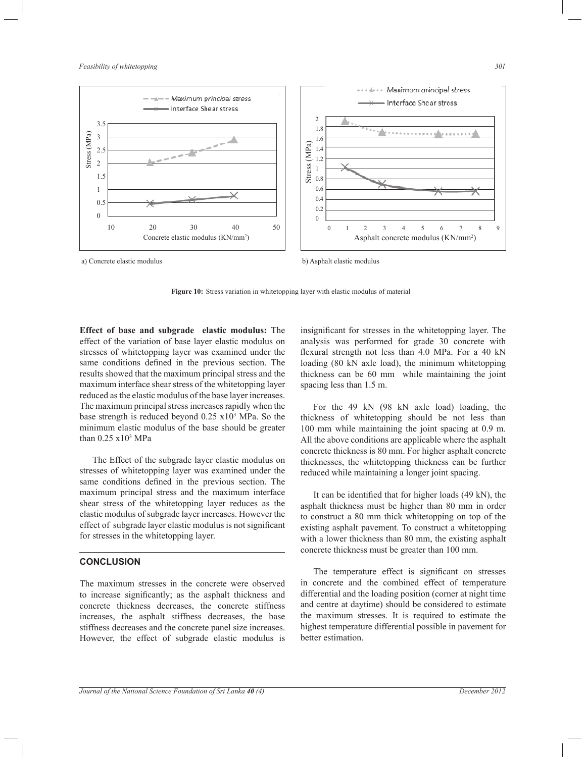*Feasibility of whitetopping 301*



**Figure 10:** Stress variation in whitetopping layer with elastic modulus of material

**Effect of base and subgrade elastic modulus:** The effect of the variation of base layer elastic modulus on stresses of whitetopping layer was examined under the same conditions defined in the previous section. The results showed that the maximum principal stress and the maximum interface shear stress of the whitetopping layer reduced as the elastic modulus of the base layer increases. The maximum principal stress increases rapidly when the base strength is reduced beyond 0.25 x10<sup>3</sup> MPa. So the minimum elastic modulus of the base should be greater than 0.25 x10<sup>3</sup> MPa

 The Effect of the subgrade layer elastic modulus on stresses of whitetopping layer was examined under the same conditions defined in the previous section. The maximum principal stress and the maximum interface shear stress of the whitetopping layer reduces as the elastic modulus of subgrade layer increases. However the effect of subgrade layer elastic modulus is not significant for stresses in the whitetopping layer.

## **CONCLUSION**

The maximum stresses in the concrete were observed to increase significantly; as the asphalt thickness and concrete thickness decreases, the concrete stiffness increases, the asphalt stiffness decreases, the base stiffness decreases and the concrete panel size increases. However, the effect of subgrade elastic modulus is

insignificant for stresses in the whitetopping layer. The analysis was performed for grade 30 concrete with flexural strength not less than 4.0 MPa. For a 40 kN loading (80 kN axle load), the minimum whitetopping thickness can be 60 mm while maintaining the joint spacing less than 1.5 m.

 For the 49 kN (98 kN axle load) loading, the thickness of whitetopping should be not less than 100 mm while maintaining the joint spacing at 0.9 m. All the above conditions are applicable where the asphalt concrete thickness is 80 mm. For higher asphalt concrete thicknesses, the whitetopping thickness can be further reduced while maintaining a longer joint spacing.

 It can be identified that for higher loads (49 kN), the asphalt thickness must be higher than 80 mm in order to construct a 80 mm thick whitetopping on top of the existing asphalt pavement. To construct a whitetopping with a lower thickness than 80 mm, the existing asphalt concrete thickness must be greater than 100 mm.

 The temperature effect is significant on stresses in concrete and the combined effect of temperature differential and the loading position (corner at night time and centre at daytime) should be considered to estimate the maximum stresses. It is required to estimate the highest temperature differential possible in pavement for better estimation.